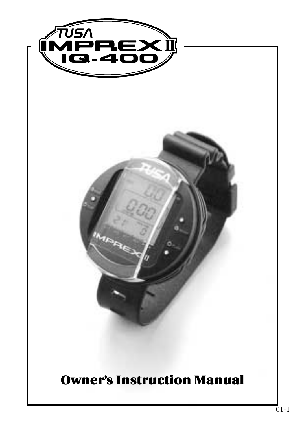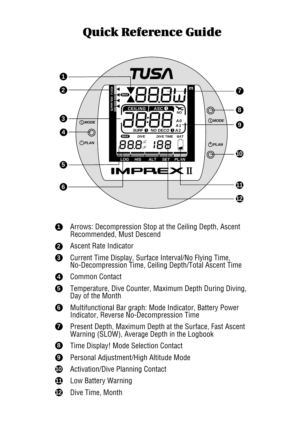## **Quick Reference Guide**



- **1** Arrows: Decompression Stop at the Ceiling Depth, Ascent Recommended, Must Descend
- Ascent Rate Indicator **2**
- Current Time Display, Surface Interval/No Flying Time, **3** No-Decompression Time, Ceiling Depth/Total Ascent Time
- **4** Common Contact
- **5** Temperature, Dive Counter, Maximum Depth During Diving, Day of the Month
- Multifunctional Bar graph: Mode Indicator, Battery Power **6** Indicator, Reverse No-Decompression Time
- Present Depth, Maximum Depth at the Surface, Fast Ascent Warning (SLOW), Average Depth in the Logbook *1*
- Time Display! Mode Selection Contact **8**
- Personal Adjustment/High Altitude Mode **9**
- Activation/Dive Planning Contact **10**
- Low Battery Warning **11**
- Dive Time, Month **12**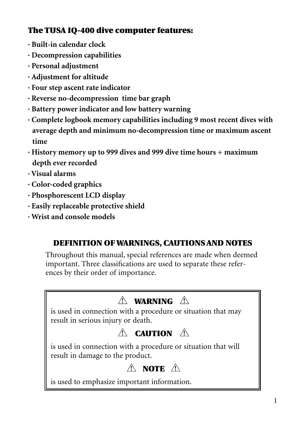#### **The TUSA IQ-400 dive computer features:**

- **· Built-in calendar clock**
- **· Decompression capabilities**
- **· Personal adjustment**
- **· Adjustment for altitude**
- **· Four step ascent rate indicator**
- **· Reverse no-decompression time bar graph**
- **· Battery power indicator and low battery warning**
- **· Complete logbook memory capabilities including 9 most recent dives with average depth and minimum no-decompression time or maximum ascent time**
- **· History memory up to 999 dives and 999 dive time hours + maximum depth ever recorded**
- **· Visual alarms**
- **· Color-coded graphics**
- **· Phosphorescent LCD display**
- **· Easily replaceable protective shield**
- **· Wrist and console models**

#### **DEFINITION OF WARNINGS, CAUTIONS AND NOTES**

Throughout this manual, special references are made when deemed important. Three classifications are used to separate these references by their order of importance.

## **WARNING ! !**

is used in connection with a procedure or situation that may result in serious injury or death.

## **CAUTION ! !**

is used in connection with a procedure or situation that will result in damage to the product.

## **NOTE ! !**

is used to emphasize important information.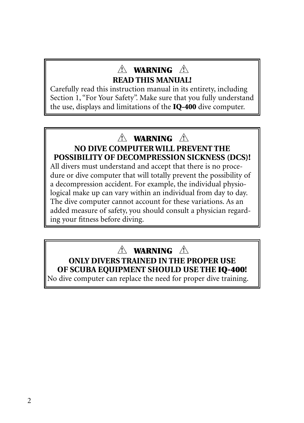## **WARNING ! ! READ THIS MANUAL!**

Carefully read this instruction manual in its entirety, including Section 1, "For Your Safety". Make sure that you fully understand the use, displays and limitations of the **IQ-400** dive computer.

## **WARNING ! !**

#### **NO DIVE COMPUTER WILL PREVENT THE POSSIBILITY OF DECOMPRESSION SICKNESS (DCS)!**

All divers must understand and accept that there is no procedure or dive computer that will totally prevent the possibility of a decompression accident. For example, the individual physiological make up can vary within an individual from day to day. The dive computer cannot account for these variations. As an added measure of safety, you should consult a physician regarding your fitness before diving.

## **WARNING ! !**

#### **ONLY DIVERS TRAINED IN THE PROPER USE OF SCUBA EQUIPMENT SHOULD USE THE IQ-400!**

No dive computer can replace the need for proper dive training.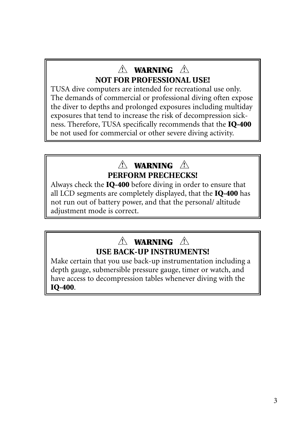## **WARNING ! ! NOT FOR PROFESSIONAL USE!**

TUSA dive computers are intended for recreational use only. The demands of commercial or professional diving often expose the diver to depths and prolonged exposures including multiday exposures that tend to increase the risk of decompression sickness. Therefore, TUSA specifically recommends that the **IQ-400** be not used for commercial or other severe diving activity.

## **WARNING ! ! PERFORM PRECHECKS!**

Always check the **IQ-400** before diving in order to ensure that all LCD segments are completely displayed, that the **IQ-400** has not run out of battery power, and that the personal/ altitude adjustment mode is correct.

## **WARNING ! !USE BACK-UP INSTRUMENTS!**

Make certain that you use back-up instrumentation including a depth gauge, submersible pressure gauge, timer or watch, and have access to decompression tables whenever diving with the **IQ-400**.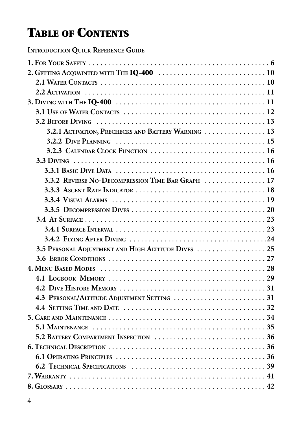# **TABLE OF CONTENTS**

**INTRODUCTION QUICK REFERENCE GUIDE**

| 3.2.1 ACTIVATION, PRECHECKS AND BATTERY WARNING  13                                                                   |
|-----------------------------------------------------------------------------------------------------------------------|
|                                                                                                                       |
|                                                                                                                       |
|                                                                                                                       |
| 3.3.1 BASIC DIVE DATA $\ldots \ldots \ldots \ldots \ldots \ldots \ldots \ldots \ldots \ldots \ldots \ldots \ldots 16$ |
| 3.3.2 REVERSE NO-DECOMPRESSION TIME BAR GRAPH  17                                                                     |
|                                                                                                                       |
|                                                                                                                       |
|                                                                                                                       |
|                                                                                                                       |
|                                                                                                                       |
|                                                                                                                       |
| 3.5 PERSONAL ADIUSTMENT AND HIGH ALTITUDE DIVES  25                                                                   |
|                                                                                                                       |
|                                                                                                                       |
|                                                                                                                       |
|                                                                                                                       |
|                                                                                                                       |
|                                                                                                                       |
|                                                                                                                       |
|                                                                                                                       |
|                                                                                                                       |
|                                                                                                                       |
|                                                                                                                       |
|                                                                                                                       |
|                                                                                                                       |
|                                                                                                                       |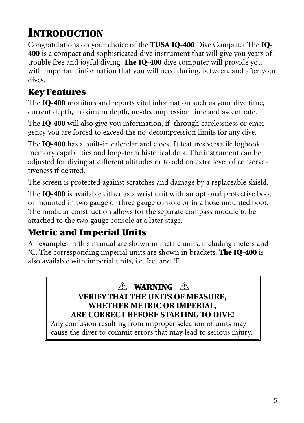# **INTRODUCTION**

Congratulations on your choice of the **TUSA IQ-400** Dive Computer.The **IQ-400** is a compact and sophisticated dive instrument that will give you years of trouble free and joyful diving. **The IQ-400** dive computer will provide you with important information that you will need during, between, and after your dives.

## **Key Features**

The **IQ-400** monitors and reports vital information such as your dive time, current depth, maximum depth, no-decompression time and ascent rate.

The **IQ-400** will also give you information, if through carelessness or emergency you are forced to exceed the no-decompression limits for any dive.

The **IQ-400** has a built-in calendar and clock. It features versatile logbook memory capabilities and long-term historical data. The instrument can be adjusted for diving at different altitudes or to add an extra level of conservativeness if desired.

The screen is protected against scratches and damage by a replaceable shield.

The **IQ-400** is available either as a wrist unit with an optional protective boot or mounted in two gauge or three gauge console or in a hose mounted boot. The modular construction allows for the separate compass module to be attached to the two gauge console at a later stage.

## **Metric and Imperial Units**

All examples in this manual are shown in metric units, including meters and ˚C. The corresponding imperial units are shown in brackets. **The IQ-400** is also available with imperial units, i.e. feet and ˚F.

#### **WARNING ! !VERIFY THAT THE UNITS OF MEASURE, WHETHER METRIC OR IMPERIAL, ARE CORRECT BEFORE STARTING TO DIVE!**

Any confusion resulting from improper selection of units may cause the diver to commit errors that may lead to serious injury.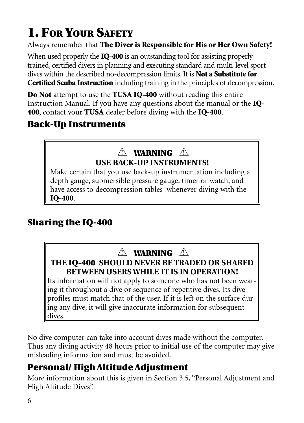# **1. FOR YOUR SAFETY**

Always remember that **The Diver is Responsible for His or Her Own Safety!**

When used properly the **IQ-400** is an outstanding tool for assisting properly trained, certified divers in planning and executing standard and multi-level sport dives within the described no-decompression limits. It is **Not a Substitute for Certified Scuba Instruction** including training in the principles of decompression.

**Do Not** attempt to use the **TUSA IQ-400** without reading this entire Instruction Manual. If you have any questions about the manual or the **IQ-400**, contact your **TUSA** dealer before diving with the **IQ-400**.

## **Back-Up Instruments**

## **WARNING ! ! USE BACK-UP INSTRUMENTS!**

Make certain that you use back-up instrumentation including a depth gauge, submersible pressure gauge, timer or watch, and have access to decompression tables whenever diving with the **IQ-400**.

## **Sharing the IQ-400**

## **WARNING ! !**

**THE IQ-400 SHOULD NEVER BE TRADED OR SHARED BETWEEN USERS WHILE IT IS IN OPERATION!**

Its information will not apply to someone who has not been wearing it throughout a dive or sequence of repetitive dives. Its dive profiles must match that of the user. If it is left on the surface during any dive, it will give inaccurate information for subsequent dives.

No dive computer can take into account dives made without the computer. Thus any diving activity 48 hours prior to initial use of the computer may give misleading information and must be avoided.

## **Personal/ High Altitude Adjustment**

More information about this is given in Section 3.5, "Personal Adjustment and High Altitude Dives".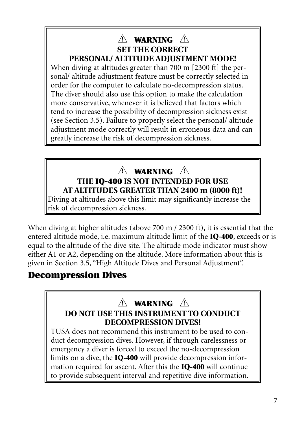#### **WARNING ! ! SET THE CORRECT PERSONAL/ ALTITUDE ADJUSTMENT MODE!**

When diving at altitudes greater than 700 m [2300 ft] the personal/ altitude adjustment feature must be correctly selected in order for the computer to calculate no-decompression status. The diver should also use this option to make the calculation more conservative, whenever it is believed that factors which tend to increase the possibility of decompression sickness exist (see Section 3.5). Failure to properly select the personal/ altitude adjustment mode correctly will result in erroneous data and can greatly increase the risk of decompression sickness.

# **WARNING ! !**

#### **THE IQ-400 IS NOT INTENDED FOR USE AT ALTITUDES GREATER THAN 2400 m (8000 ft)!**

Diving at altitudes above this limit may significantly increase the risk of decompression sickness.

When diving at higher altitudes (above 700 m / 2300 ft), it is essential that the entered altitude mode, i.e. maximum altitude limit of the **IQ-400**, exceeds or is equal to the altitude of the dive site. The altitude mode indicator must show either A1 or A2, depending on the altitude. More information about this is given in Section 3.5, "High Altitude Dives and Personal Adjustment".

## **Decompression Dives**

#### **WARNING ! !DO NOT USE THIS INSTRUMENT TO CONDUCT DECOMPRESSION DIVES!**

TUSA does not recommend this instrument to be used to conduct decompression dives. However, if through carelessness or emergency a diver is forced to exceed the no-decompression limits on a dive, the **IQ-400** will provide decompression information required for ascent. After this the **IQ-400** will continue to provide subsequent interval and repetitive dive information.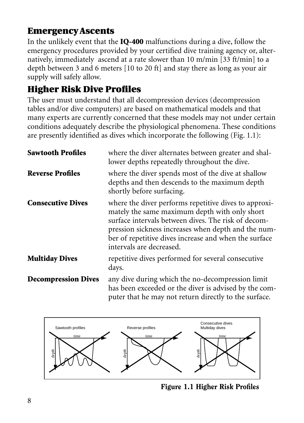## **Emergency Ascents**

In the unlikely event that the **IQ-400** malfunctions during a dive, follow the emergency procedures provided by your certified dive training agency or, alternatively, immediately ascend at a rate slower than 10 m/min [33 ft/min] to a depth between 3 and 6 meters [10 to 20 ft] and stay there as long as your air supply will safely allow.

## **Higher Risk Dive Profiles**

The user must understand that all decompression devices (decompression tables and/or dive computers) are based on mathematical models and that many experts are currently concerned that these models may not under certain conditions adequately describe the physiological phenomena. These conditions are presently identified as dives which incorporate the following (Fig. 1.1):

| <b>Sawtooth Profiles</b>   | where the diver alternates between greater and shal-<br>lower depths repeatedly throughout the dive.                                                                                                                                                                                                      |
|----------------------------|-----------------------------------------------------------------------------------------------------------------------------------------------------------------------------------------------------------------------------------------------------------------------------------------------------------|
| <b>Reverse Profiles</b>    | where the diver spends most of the dive at shallow<br>depths and then descends to the maximum depth<br>shortly before surfacing.                                                                                                                                                                          |
| <b>Consecutive Dives</b>   | where the diver performs repetitive dives to approxi-<br>mately the same maximum depth with only short<br>surface intervals between dives. The risk of decom-<br>pression sickness increases when depth and the num-<br>ber of repetitive dives increase and when the surface<br>intervals are decreased. |
| <b>Multiday Dives</b>      | repetitive dives performed for several consecutive<br>days.                                                                                                                                                                                                                                               |
| <b>Decompression Dives</b> | any dive during which the no-decompression limit<br>has been exceeded or the diver is advised by the com-<br>puter that he may not return directly to the surface.                                                                                                                                        |



Figure 1.1 Higher Risk Profiles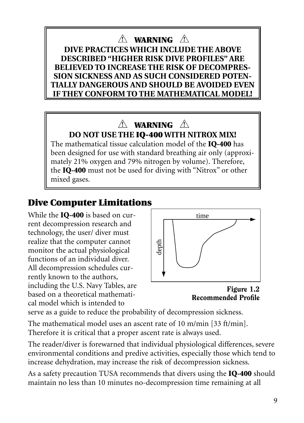## **WARNING ! !**

**DIVE PRACTICES WHICH INCLUDE THE ABOVE DESCRIBED "HIGHER RISK DIVE PROFILES" ARE BELIEVED TO INCREASE THE RISK OF DECOMPRES-SION SICKNESS AND AS SUCH CONSIDERED POTEN-TIALLY DANGEROUS AND SHOULD BE AVOIDED EVEN IF THEY CONFORM TO THE MATHEMATICAL MODEL!**

## **WARNING ! ! DO NOT USE THE IQ-400 WITH NITROX MIX!**

The mathematical tissue calculation model of the **IQ-400** has been designed for use with standard breathing air only (approximately 21% oxygen and 79% nitrogen by volume). Therefore, the **IQ-400** must not be used for diving with "Nitrox" or other mixed gases.

## **Dive Computer Limitations**

While the **IQ-400** is based on current decompression research and technology, the user/ diver must realize that the computer cannot monitor the actual physiological functions of an individual diver. All decompression schedules currently known to the authors, including the U.S. Navy Tables, are based on a theoretical mathematical model which is intended to



Figure 1.2 Recommended Profile

serve as a guide to reduce the probability of decompression sickness.

The mathematical model uses an ascent rate of 10 m/min [33 ft/min]. Therefore it is critical that a proper ascent rate is always used.

The reader/diver is forewarned that individual physiological differences, severe environmental conditions and predive activities, especially those which tend to increase dehydration, may increase the risk of decompression sickness.

As a safety precaution TUSA recommends that divers using the **IQ-400** should maintain no less than 10 minutes no-decompression time remaining at all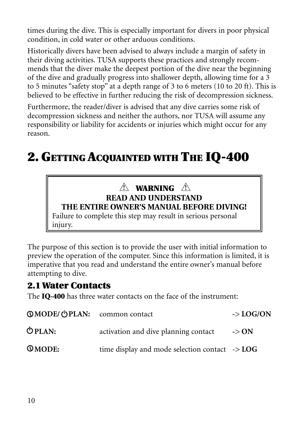times during the dive. This is especially important for divers in poor physical condition, in cold water or other arduous conditions.

Historically divers have been advised to always include a margin of safety in their diving activities. TUSA supports these practices and strongly recommends that the diver make the deepest portion of the dive near the beginning of the dive and gradually progress into shallower depth, allowing time for a 3 to 5 minutes "safety stop" at a depth range of 3 to 6 meters (10 to 20 ft). This is believed to be effective in further reducing the risk of decompression sickness.

Furthermore, the reader/diver is advised that any dive carries some risk of decompression sickness and neither the authors, nor TUSA will assume any responsibility or liability for accidents or injuries which might occur for any reason.

# **2. GETTING ACQUAINTED WITH THE IQ-400**

#### **WARNING ! !READ AND UNDERSTAND THE ENTIRE OWNER'S MANUAL BEFORE DIVING!**

Failure to complete this step may result in serious personal injury.

The purpose of this section is to provide the user with initial information to preview the operation of the computer. Since this information is limited, it is imperative that you read and understand the entire owner's manual before attempting to dive.

## **2.1 Water Contacts**

The **IQ-400** has three water contacts on the face of the instrument:

| <b>©MODE/ OPLAN:</b> common contact |                                                           | $\sim$ LOG/ON    |
|-------------------------------------|-----------------------------------------------------------|------------------|
| $O$ PLAN:                           | activation and dive planning contact                      | $\rightarrow$ ON |
| <b>QMODE:</b>                       | time display and mode selection contact $\rightarrow$ LOG |                  |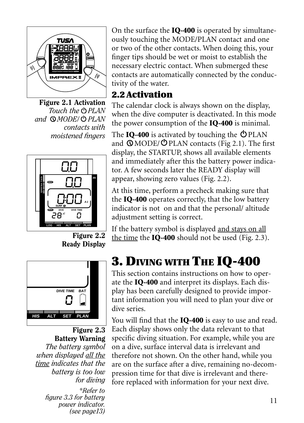

Figure 2.1 Activation *Touch the PLAN and MODE/ PLAN contacts with moistened fingers*



On the surface the **IQ-400** is operated by simultaneously touching the MODE/PLAN contact and one or two of the other contacts. When doing this, your finger tips should be wet or moist to establish the necessary electric contact. When submerged these contacts are automatically connected by the conductivity of the water.

## **2.2 Activation**

The calendar clock is always shown on the display, when the dive computer is deactivated. In this mode the power consumption of the **IQ-400** is minimal.

The **IQ-400** is activated by touching the  $\Phi$ PLAN and  $\overline{Q}$ MODE/ $\overline{Q}$ PLAN contacts (Fig 2.1). The first display, the STARTUP, shows all available elements and immediately after this the battery power indicator. A few seconds later the READY display will appear, showing zero values (Fig. 2.2).

At this time, perform a precheck making sure that the **IQ-400** operates correctly, that the low battery indicator is not on and that the personal/ altitude adjustment setting is correct.

If the battery symbol is displayed and stays on all the time the **IQ-400** should not be used (Fig. 2.3).

Ready Display



Figure 2.3 Battery Warning *The battery symbol when displayed all the time indicates that the battery is too low for diving \*Refer to figure 3.3 for battery power indicator. (see page13)*

# **3. DIVING WITH THE IQ-400**

This section contains instructions on how to operate the **IQ-400** and interpret its displays. Each display has been carefully designed to provide important information you will need to plan your dive or dive series.

You will find that the **IQ-400** is easy to use and read. Each display shows only the data relevant to that specific diving situation. For example, while you are on a dive, surface interval data is irrelevant and therefore not shown. On the other hand, while you are on the surface after a dive, remaining no-decompression time for that dive is irrelevant and therefore replaced with information for your next dive.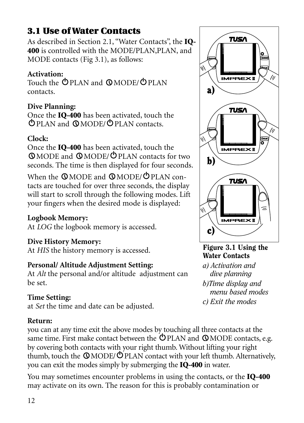## **3.1 Use of Water Contacts**

As described in Section 2.1, "Water Contacts", the **IQ-**400 is controlled with the MODE/PLAN,PLAN, and MODE contacts (Fig 3.1), as follows:

#### **Activation:**

Touch the **OPLAN** and **QMODE/ OPLAN** contacts.

#### **Dive Planning:**

Once the **IQ-400** has been activated, touch the PLAN and MODE/ PLAN contacts.

#### **Clock:**

Once the **IQ-400** has been activated, touch the MODE and MODE/ PLAN contacts for two seconds. The time is then displayed for four seconds.

When the  $\mathbb{Q}$ MODE and  $\mathbb{Q}$ MODE/ $\mathbb{Q}$ PLAN contacts are touched for over three seconds, the display will start to scroll through the following modes. Lift your fingers when the desired mode is displayed:

#### **Logbook Memory:**

At *LOG* the logbook memory is accessed.

#### **Dive History Memory:**

At *HIS* the history memory is accessed.

#### **Personal/ Altitude Adjustment Setting:**

At *Alt* the personal and/or altitude adjustment can be set.

#### **Time Setting:**

at *Set* the time and date can be adjusted.

#### **Return:**

you can at any time exit the above modes by touching all three contacts at the same time. First make contact between the  $\bigcirc$  PLAN and  $\bigcirc$  MODE contacts, e.g. by covering both contacts with your right thumb. Without lifting your right thumb, touch the  $\mathbb{Q}$  MODE/ $\mathbb{Q}$ PLAN contact with your left thumb. Alternatively, you can exit the modes simply by submerging the **IQ-400** in water.

You may sometimes encounter problems in using the contacts, or the **IQ-400** may activate on its own. The reason for this is probably contamination or



Figure 3.1 Using the Water Contacts

*a) Activation and dive planning b)Time display and menu based modes c) Exit the modes*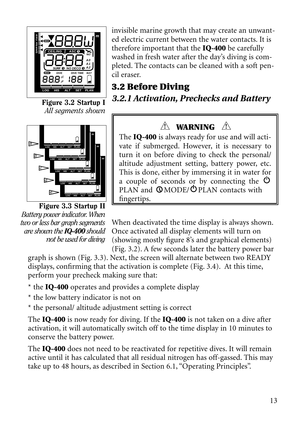

Figure 3.2 Startup I *All segments shown*



Figure 3.3 Startup II *Battery power indicator. When two or less bar graph segments are shown the IQ-400 should not be used for diving*

invisible marine growth that may create an unwanted electric current between the water contacts. It is therefore important that the **IQ-400** be carefully washed in fresh water after the day's diving is completed. The contacts can be cleaned with a soft pencil eraser.

**3.2 Before Diving** *3.2.1 Activation, Prechecks and Battery*

## **WARNING ! !**

The **IQ-400** is always ready for use and will activate if submerged. However, it is necessary to turn it on before diving to check the personal/ altitude adjustment setting, battery power, etc. This is done, either by immersing it in water for a couple of seconds or by connecting the  $\Phi$ PLAN and  $\mathbb{O}$ MODE/ $\mathbb{O}$ PLAN contacts with fingertips.

When deactivated the time display is always shown. Once activated all display elements will turn on (showing mostly figure 8's and graphical elements) (Fig. 3.2). A few seconds later the battery power bar

graph is shown (Fig. 3.3). Next, the screen will alternate between two READY displays, confirming that the activation is complete (Fig. 3.4). At this time, perform your precheck making sure that:

\* the **IQ-400** operates and provides a complete display

\* the low battery indicator is not on

\* the personal/ altitude adjustment setting is correct

The **IQ-400** is now ready for diving. If the **IQ-400** is not taken on a dive after activation, it will automatically switch off to the time display in 10 minutes to conserve the battery power.

The **IQ-400** does not need to be reactivated for repetitive dives. It will remain active until it has calculated that all residual nitrogen has off-gassed. This may take up to 48 hours, as described in Section 6.1, "Operating Principles".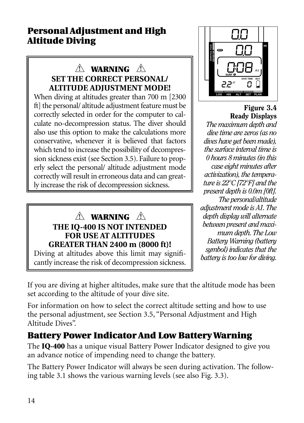## **Personal Adjustment and High Altitude Diving**

## **WARNING ! ! SET THE CORRECT PERSONAL/ ALTITUDE ADJUSTMENT MODE!**

When diving at altitudes greater than 700 m [2300 ft] the personal/ altitude adjustment feature must be correctly selected in order for the computer to calculate no-decompression status. The diver should also use this option to make the calculations more conservative, whenever it is believed that factors which tend to increase the possibility of decompression sickness exist (see Section 3.5). Failure to properly select the personal/ altitude adjustment mode correctly will result in erroneous data and can greatly increase the risk of decompression sickness.

#### **WARNING ! !THE IQ-400 IS NOT INTENDED FOR USE AT ALTITUDES GREATER THAN 2400 m (8000 ft)!**

Diving at altitudes above this limit may significantly increase the risk of decompression sickness.



Figure 3.4 Ready Displays *The maximum depth and dive time are zeros (as no dives have yet been made), the surface interval time is 0 hours 8 minutes (in this case eight minutes after activization), the temperature is 22°C [72°F] and the present depth is 0.0m [0ft]. The personal/altitude adjustment mode is A1. The depth display will alternate between present and maximum depth. The Low Battery Warning (battery symbol) indicates that the battery is too low for diving.*

If you are diving at higher altitudes, make sure that the altitude mode has been set according to the altitude of your dive site.

For information on how to select the correct altitude setting and how to use the personal adjustment, see Section 3.5, "Personal Adjustment and High Altitude Dives".

## **Battery Power Indicator And Low Battery Warning**

The **IQ-400** has a unique visual Battery Power Indicator designed to give you an advance notice of impending need to change the battery.

The Battery Power Indicator will always be seen during activation. The following table 3.1 shows the various warning levels (see also Fig. 3.3).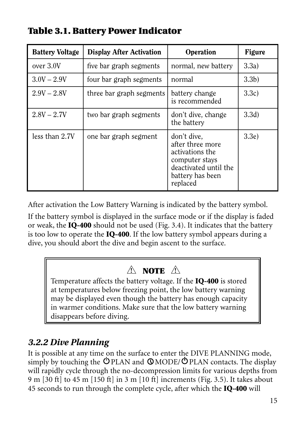| <b>Battery Voltage</b> | <b>Display After Activation</b> | Operation                                                                                                                     | <b>Figure</b>    |
|------------------------|---------------------------------|-------------------------------------------------------------------------------------------------------------------------------|------------------|
| over 3.0V              | five bar graph segments         | normal, new battery                                                                                                           | 3.3a)            |
| $3.0V - 2.9V$          | four bar graph segments         | normal                                                                                                                        | 3.3 <sub>b</sub> |
| $2.9V - 2.8V$          | three bar graph segments        | battery change<br>is recommended                                                                                              | 3.3c)            |
| $2.8V - 2.7V$          | two bar graph segments          | don't dive, change<br>the battery                                                                                             | 3.3d)            |
| less than 2.7V         | one bar graph segment           | don't dive.<br>after three more<br>activations the<br>computer stays<br>deactivated until the<br>battery has been<br>replaced | 3.3e             |

## **Table 3.1. Battery Power Indicator**

After activation the Low Battery Warning is indicated by the battery symbol.

If the battery symbol is displayed in the surface mode or if the display is faded or weak, the **IQ-400** should not be used (Fig. 3.4). It indicates that the battery is too low to operate the **IQ-400**. If the low battery symbol appears during a dive, you should abort the dive and begin ascent to the surface.

## **NOTE ! !**

Temperature affects the battery voltage. If the **IQ-400** is stored at temperatures below freezing point, the low battery warning may be displayed even though the battery has enough capacity in warmer conditions. Make sure that the low battery warning disappears before diving.

## *3.2.2 Dive Planning*

It is possible at any time on the surface to enter the DIVE PLANNING mode, simply by touching the  $\Diamond$  PLAN and  $\Diamond$  MODE/ $\Diamond$  PLAN contacts. The display will rapidly cycle through the no-decompression limits for various depths from 9 m [30 ft] to 45 m [150 ft] in 3 m [10 ft] increments (Fig. 3.5). It takes about 45 seconds to run through the complete cycle, after which the **IQ-400** will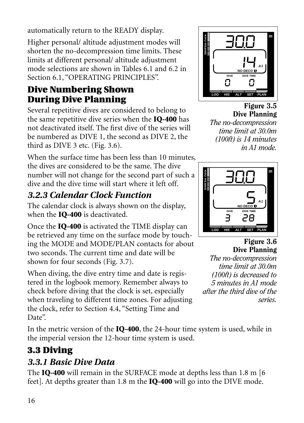automatically return to the READY display.

Higher personal/ altitude adjustment modes will shorten the no-decompression time limits. These limits at different personal/ altitude adjustment mode selections are shown in Tables 6.1 and 6.2 in Section 6.1, "OPERATING PRINCIPLES".

## **Dive Numbering Shown During Dive Planning**

Several repetitive dives are considered to belong to the same repetitive dive series when the **IQ-400** has not deactivated itself. The first dive of the series will be numbered as DIVE 1, the second as DIVE 2, the third as DIVE 3 etc. (Fig. 3.6).

When the surface time has been less than 10 minutes, the dives are considered to be the same. The dive number will not change for the second part of such a dive and the dive time will start where it left off.

## *3.2.3 Calendar Clock Function*

The calendar clock is always shown on the display, when the **IQ-400** is deactivated.

Once the **IQ-400** is activated the TIME display can be retrieved any time on the surface mode by touching the MODE and MODE/PLAN contacts for about two seconds. The current time and date will be shown for four seconds (Fig. 3.7).

When diving, the dive entry time and date is registered in the logbook memory. Remember always to check before diving that the clock is set, especially when traveling to different time zones. For adjusting the clock, refer to Section 4.4, "Setting Time and Date".

In the metric version of the **IQ-400**, the 24-hour time system is used, while in the imperial version the 12-hour time system is used.

## **3.3 Diving**

## *3.3.1 Basic Dive Data*

The **IQ-400** will remain in the SURFACE mode at depths less than 1.8 m [6 feet]. At depths greater than 1.8 m the **IQ-400** will go into the DIVE mode.



Figure 3.5 Dive Planning *The no-decompression time limit at 30.0m (100ft) is 14 minutes in A1 mode.*



Figure 3.6 Dive Planning *The no-decompression time limit at 30.0m (100ft) is decreased to 5 minutes in A1 mode after the third dive of the series.*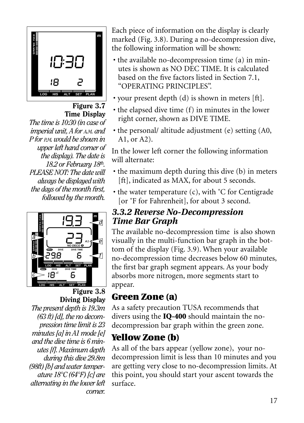

Figure 3.7 Time Display

*The time is 10:30 (in case of imperial unit, A for A.M. and P for P.M. would be shown in upper left hand corner of the display). The date is 18.2 or February 18th. PLEASE NOT: The date will always be displayed with the days of the month first, followed by the month.*



## Figure 3.8 Diving Display

*The present depth is 19.3m (63 ft) [d], the no decompression time limit is 23 minutes [a] in A1 mode [e] and the dive time is 6 minutes [f]. Maximum depth during this dive 29.8m (98ft) [b] and water temperature 18°C (64°F) [c] are alternating in the lower left corner.*

Each piece of information on the display is clearly marked (Fig. 3.8). During a no-decompression dive, the following information will be shown:

- the available no-decompression time (a) in minutes is shown as NO DEC TIME. It is calculated based on the five factors listed in Section 7.1, "OPERATING PRINCIPLES".
- your present depth (d) is shown in meters [ft].
- the elapsed dive time (f) in minutes in the lower right corner, shown as DIVE TIME.
- the personal/ altitude adjustment (e) setting (A0, A1, or A2).

In the lower left corner the following information will alternate:

- the maximum depth during this dive (b) in meters [ft], indicated as MAX, for about 5 seconds.
- the water temperature (c), with ˚C for Centigrade [or °F for Fahrenheit], for about 3 second.

#### *3.3.2 Reverse No-Decompression Time Bar Graph*

The available no-decompression time is also shown visually in the multi-function bar graph in the bottom of the display (Fig. 3.9). When your available no-decompression time decreases below 60 minutes, the first bar graph segment appears. As your body absorbs more nitrogen, more segments start to appear.

## **Green Zone (a)**

As a safety precaution TUSA recommends that divers using the **IQ-400** should maintain the nodecompression bar graph within the green zone.

## **Yellow Zone (b)**

As all of the bars appear (yellow zone), your nodecompression limit is less than 10 minutes and you are getting very close to no-decompression limits. At this point, you should start your ascent towards the surface.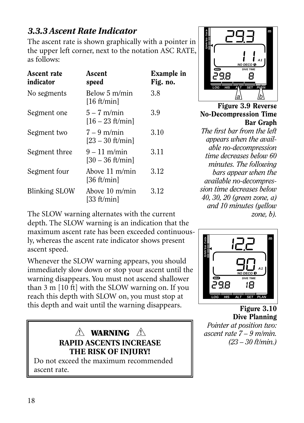## *3.3.3 Ascent Rate Indicator*

The ascent rate is shown graphically with a pointer in the upper left corner, next to the notation ASC RATE, as follows:

| Ascent rate<br>indicator | Ascent<br>speed                         | Example in<br>Fig. no. |
|--------------------------|-----------------------------------------|------------------------|
| No segments              | Below 5 m/min<br>[16 ft/min]            | 3.8                    |
| Segment one              | $5 - 7$ m/min<br>$[16 - 23 ft/min]$     | 3.9                    |
| Segment two              | $7 - 9$ m/min<br>$[23 - 30$ ft/min      | 3.10                   |
| Segment three            | $9 - 11$ m/min<br>$[30 - 36$ ft/min     | 3.11                   |
| Segment four             | Above 11 m/min<br>[36 ft/min]           | 3.12                   |
| Blinking SLOW            | Above $10 \text{ m/min}$<br>[33 ft/min] | 3.12                   |

**<sup>S</sup> <sup>m</sup> P E E D A1 NO DECO MAX DIVE TIME** я **LOG ALT SET PLAN HIS** a  $/b$ 

Figure 3.9 Reverse No-Decompression Time Bar Graph

*The first bar from the left appears when the available no-decompression time decreases below 60 minutes. The following bars appear when the available no-decompression time decreases below 40, 30, 20 (green zone, a) and 10 minutes (yellow zone, b).*

The SLOW warning alternates with the current depth. The SLOW warning is an indication that the maximum ascent rate has been exceeded continuously, whereas the ascent rate indicator shows present ascent speed.

Whenever the SLOW warning appears, you should immediately slow down or stop your ascent until the warning disappears. You must not ascend shallower than 3 m [10 ft] with the SLOW warning on. If you reach this depth with SLOW on, you must stop at this depth and wait until the warning disappears.



ascent rate.



Figure 3.10 Dive Planning *Pointer at position two: ascent rate 7 – 9 m/min. (23 – 30 ft/min.)*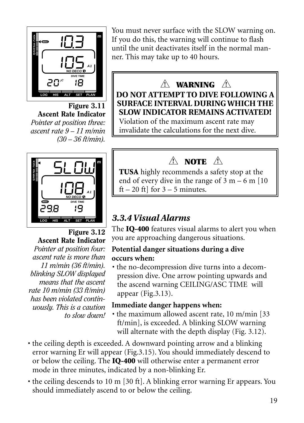

Figure 3.11 Ascent Rate Indicator *Pointer at position three: ascent rate 9 – 11 m/min (30 – 36 ft/min).*



Figure 3.12 Ascent Rate Indicator *Pointer at position four: ascent rate is more than 11 m/min (36 ft/min). blinking SLOW displayed means that the ascent rate 10 m/min (33 ft/min) has been violated continuously. This is a caution to slow down!*

You must never surface with the SLOW warning on. If you do this, the warning will continue to flash until the unit deactivates itself in the normal manner. This may take up to 40 hours.

# **WARNING ! !**

**DO NOT ATTEMPT TO DIVE FOLLOWING A SURFACE INTERVAL DURING WHICH THE SLOW INDICATOR REMAINS ACTIVATED!**

Violation of the maximum ascent rate may invalidate the calculations for the next dive.

## **NOTE ! !**

**TUSA** highly recommends a safety stop at the end of every dive in the range of  $3 \text{ m} - 6 \text{ m}$  [10] ft – 20 ft  $\vert$  for 3 – 5 minutes.

## *3.3.4 Visual Alarms*

The **IQ-400** features visual alarms to alert you when you are approaching dangerous situations.

#### **Potential danger situations during a dive occurs when:**

• the no-decompression dive turns into a decompression dive. One arrow pointing upwards and the ascend warning CEILING/ASC TIME will appear (Fig.3.13).

#### **Immediate danger happens when:**

- the maximum allowed ascent rate, 10 m/min [33 ft/min], is exceeded. A blinking SLOW warning will alternate with the depth display (Fig. 3.12).
- the ceiling depth is exceeded. A downward pointing arrow and a blinking error warning Er will appear (Fig.3.15). You should immediately descend to or below the ceiling. The **IQ-400** will otherwise enter a permanent error mode in three minutes, indicated by a non-blinking Er.
- the ceiling descends to 10 m [30 ft]. A blinking error warning Er appears. You should immediately ascend to or below the ceiling.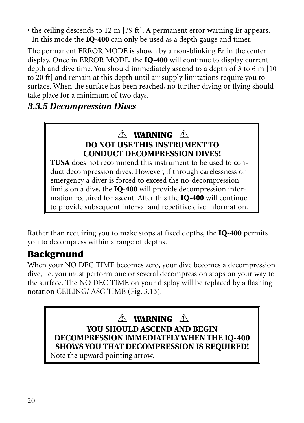• the ceiling descends to 12 m [39 ft]. A permanent error warning Er appears. In this mode the **IQ-400** can only be used as a depth gauge and timer.

The permanent ERROR MODE is shown by a non-blinking Er in the center display. Once in ERROR MODE, the **IQ-400** will continue to display current depth and dive time. You should immediately ascend to a depth of 3 to 6 m [10 to 20 ft] and remain at this depth until air supply limitations require you to surface. When the surface has been reached, no further diving or flying should take place for a minimum of two days.

#### *3.3.5 Decompression Dives*

#### **WARNING ! ! DO NOT USE THIS INSTRUMENT TO CONDUCT DECOMPRESSION DIVES!**

**TUSA** does not recommend this instrument to be used to conduct decompression dives. However, if through carelessness or emergency a diver is forced to exceed the no-decompression limits on a dive, the **IQ-400** will provide decompression information required for ascent. After this the **IQ-400** will continue to provide subsequent interval and repetitive dive information.

Rather than requiring you to make stops at fixed depths, the **IQ-400** permits you to decompress within a range of depths.

## **Background**

When your NO DEC TIME becomes zero, your dive becomes a decompression dive, i.e. you must perform one or several decompression stops on your way to the surface. The NO DEC TIME on your display will be replaced by a flashing notation CEILING/ ASC TIME (Fig. 3.13).

## **WARNING ! !**

**YOU SHOULD ASCEND AND BEGIN DECOMPRESSION IMMEDIATELY WHEN THE IQ-400 SHOWS YOU THAT DECOMPRESSION IS REQUIRED!**

Note the upward pointing arrow.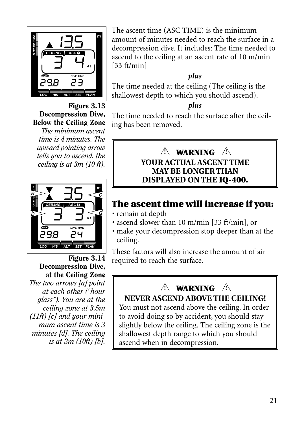

Figure 3.13 Decompression Dive, Below the Ceiling Zone

*The minimum ascent time is 4 minutes. The upward pointing arrow tells you to ascend. the ceiling is at 3m (10 ft).*



Figure 3.14 Decompression Dive, at the Ceiling Zone *The two arrows [a] point at each other ("hour glass"). You are at the ceiling zone at 3.5m (11ft) [c] and your minimum ascent time is 3 minutes [d]. The ceiling is at 3m (10ft) [b].*

The ascent time (ASC TIME) is the minimum amount of minutes needed to reach the surface in a decompression dive. It includes: The time needed to ascend to the ceiling at an ascent rate of 10 m/min [33 ft/min]

#### *plus*

The time needed at the ceiling (The ceiling is the shallowest depth to which you should ascend).

#### *plus*

The time needed to reach the surface after the ceiling has been removed.

#### **WARNING ! ! YOUR ACTUAL ASCENT TIME MAY BE LONGER THAN DISPLAYED ON THE IQ-400.**

## **The ascent time will increase if you:**

- remain at depth
- ascend slower than 10 m/min [33 ft/min], or
- make your decompression stop deeper than at the ceiling.

These factors will also increase the amount of air required to reach the surface.

## **WARNING ! !NEVER ASCEND ABOVE THE CEILING!**

You must not ascend above the ceiling. In order to avoid doing so by accident, you should stay slightly below the ceiling. The ceiling zone is the shallowest depth range to which you should ascend when in decompression.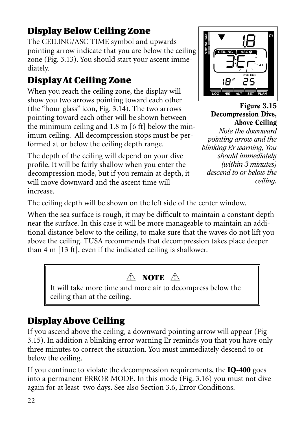## **Display Below Ceiling Zone**

The CEILING/ASC TIME symbol and upwards pointing arrow indicate that you are below the ceiling zone (Fig. 3.13). You should start your ascent immediately.

## **Display At Ceiling Zone**

When you reach the ceiling zone, the display will show you two arrows pointing toward each other (the "hour glass" icon, Fig. 3.14). The two arrows pointing toward each other will be shown between the minimum ceiling and 1.8 m [6 ft] below the minimum ceiling. All decompression stops must be performed at or below the ceiling depth range.

The depth of the ceiling will depend on your dive profile. It will be fairly shallow when you enter the decompression mode, but if you remain at depth, it will move downward and the ascent time will increase.



Figure 3.15 Decompression Dive, Above Ceiling

*Note the downward pointing arrow and the blinking Er warning, You should immediately (within 3 minutes) descend to or below the ceiling.*

The ceiling depth will be shown on the left side of the center window.

When the sea surface is rough, it may be difficult to maintain a constant depth near the surface. In this case it will be more manageable to maintain an additional distance below to the ceiling, to make sure that the waves do not lift you above the ceiling. TUSA recommends that decompression takes place deeper than 4 m [13 ft], even if the indicated ceiling is shallower.

## **NOTE ! !**

It will take more time and more air to decompress below the ceiling than at the ceiling.

## **Display Above Ceiling**

If you ascend above the ceiling, a downward pointing arrow will appear (Fig 3.15). In addition a blinking error warning Er reminds you that you have only three minutes to correct the situation. You must immediately descend to or below the ceiling.

If you continue to violate the decompression requirements, the **IQ-400** goes into a permanent ERROR MODE. In this mode (Fig. 3.16) you must not dive again for at least two days. See also Section 3.6, Error Conditions.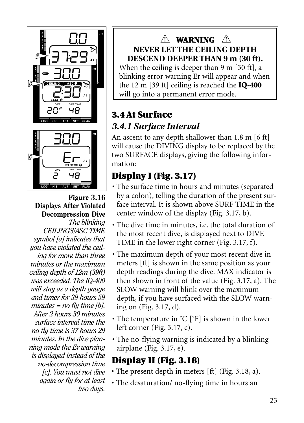

Figure 3.16 Displays After Violated Decompression Dive *The blinking CEILINGS/ASC TIME symbol [a] indicates that you have violated the ceiling for more than three minutes or the maximum ceiling depth of 12m (39ft) was exceeded. The IQ-400 will stay as a depth gauge and timer for 39 hours 59 minutes = no fly time [b]. After 2 hours 30 minutes surface interval time the no fly time is 37 hours 29 minutes. In the dive planning mode the Er warning is displayed instead of the no-decompression time [c]. You must not dive again or fly for at least two days.*

#### **WARNING ! !NEVER LET THE CEILING DEPTH DESCEND DEEPER THAN 9 m (30 ft).**

When the ceiling is deeper than 9 m [30 ft], a blinking error warning Er will appear and when the 12 m [39 ft] ceiling is reached the **IQ-400** will go into a permanent error mode.

## **3.4 At Surface** *3.4.1 Surface Interval*

An ascent to any depth shallower than 1.8 m [6 ft] will cause the DIVING display to be replaced by the two SURFACE displays, giving the following information:

## **Display I (Fig. 3.17)**

- The surface time in hours and minutes (separated by a colon), telling the duration of the present surface interval. It is shown above SURF TIME in the center window of the display (Fig. 3.17, b).
- The dive time in minutes, i.e. the total duration of the most recent dive, is displayed next to DIVE TIME in the lower right corner (Fig. 3.17, f).
- The maximum depth of your most recent dive in meters [ft] is shown in the same position as your depth readings during the dive. MAX indicator is then shown in front of the value (Fig. 3.17, a). The SLOW warning will blink over the maximum depth, if you have surfaced with the SLOW warning on (Fig. 3.17, d).
- The temperature in ˚C [˚F] is shown in the lower left corner (Fig. 3.17, c).
- The no-flying warning is indicated by a blinking airplane (Fig. 3.17, e).

## **Display II (Fig. 3.18)**

- The present depth in meters [ft] (Fig. 3.18, a).
- The desaturation/ no-flying time in hours an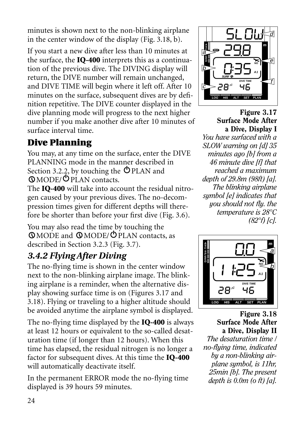minutes is shown next to the non-blinking airplane in the center window of the display (Fig. 3.18, b).

If you start a new dive after less than 10 minutes at the surface, the **IQ-400** interprets this as a continuation of the previous dive. The DIVING display will return, the DIVE number will remain unchanged, and DIVE TIME will begin where it left off. After 10 minutes on the surface, subsequent dives are by definition repetitive. The DIVE counter displayed in the dive planning mode will progress to the next higher number if you make another dive after 10 minutes of surface interval time.

## **Dive Planning**

You may, at any time on the surface, enter the DIVE PLANNING mode in the manner described in Section 3.2.2, by touching the  $\Phi$  PLAN and MODE/ PLAN contacts.

The **IQ-400** will take into account the residual nitrogen caused by your previous dives. The no-decompression times given for different depths will therefore be shorter than before your first dive (Fig. 3.6).

You may also read the time by touching the MODE and MODE/ PLAN contacts, as described in Section 3.2.3 (Fig. 3.7).

## *3.4.2 Flying After Diving*

The no-flying time is shown in the center window next to the non-blinking airplane image. The blinking airplane is a reminder, when the alternative display showing surface time is on (Figures 3.17 and 3.18). Flying or traveling to a higher altitude should be avoided anytime the airplane symbol is displayed.

The no-flying time displayed by the **IQ-400** is always at least 12 hours or equivalent to the so-called desaturation time (if longer than 12 hours). When this time has elapsed, the residual nitrogen is no longer a factor for subsequent dives. At this time the **IQ-400** will automatically deactivate itself.

In the permanent ERROR mode the no-flying time displayed is 39 hours 59 minutes.



Figure 3.17 Surface Mode After a Dive, Display I

*You have surfaced with a SLOW warning on [d] 35 minutes ago [b] from a 46 minute dive [f] that reached a maximum depth of 29.8m (98ft) [a]. The blinking airplane symbol [e] indicates that you should not fly. the temperature is 28°C (82°f) [c].*



Figure 3.18 Surface Mode After a Dive, Display II

*The desaturation time / no-flying time, indicated by a non-blinking airplane symbol, is 11hr, 25min [b]. The present depth is 0.0m (o ft) [a].*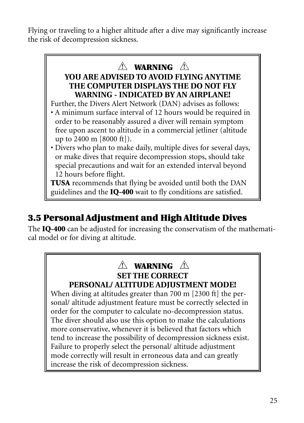Flying or traveling to a higher altitude after a dive may significantly increase the risk of decompression sickness.

## **WARNING ! !**

#### **YOU ARE ADVISED TO AVOID FLYING ANYTIME THE COMPUTER DISPLAYS THE DO NOT FLY WARNING - INDICATED BY AN AIRPLANE!**

Further, the Divers Alert Network (DAN) advises as follows:

- A minimum surface interval of 12 hours would be required in order to be reasonably assured a diver will remain symptom free upon ascent to altitude in a commercial jetliner (altitude up to 2400 m [8000 ft]).
- Divers who plan to make daily, multiple dives for several days, or make dives that require decompression stops, should take special precautions and wait for an extended interval beyond 12 hours before flight.

**TUSA** recommends that flying be avoided until both the DAN guidelines and the **IQ-400** wait to fly conditions are satisfied.

## **3.5 Personal Adjustment and High Altitude Dives**

The **IQ-400** can be adjusted for increasing the conservatism of the mathematical model or for diving at altitude.

#### **WARNING ! !SET THE CORRECT PERSONAL/ ALTITUDE ADJUSTMENT MODE!**

When diving at altitudes greater than 700 m [2300 ft] the personal/ altitude adjustment feature must be correctly selected in order for the computer to calculate no-decompression status. The diver should also use this option to make the calculations more conservative, whenever it is believed that factors which tend to increase the possibility of decompression sickness exist. Failure to properly select the personal/ altitude adjustment mode correctly will result in erroneous data and can greatly increase the risk of decompression sickness.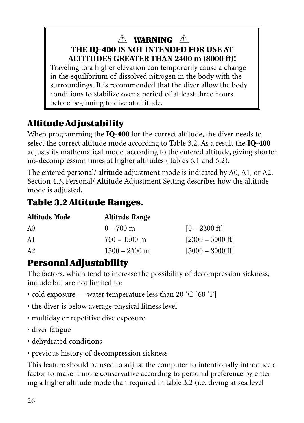## **WARNING ! !THE IQ-400 IS NOT INTENDED FOR USE AT ALTITUDES GREATER THAN 2400 m (8000 ft)!**

Traveling to a higher elevation can temporarily cause a change in the equilibrium of dissolved nitrogen in the body with the surroundings. It is recommended that the diver allow the body conditions to stabilize over a period of at least three hours before beginning to dive at altitude.

## **Altitude Adjustability**

When programming the **IQ-400** for the correct altitude, the diver needs to select the correct altitude mode according to Table 3.2. As a result the **IQ-400** adjusts its mathematical model according to the entered altitude, giving shorter no-decompression times at higher altitudes (Tables 6.1 and 6.2).

The entered personal/ altitude adjustment mode is indicated by A0, A1, or A2. Section 4.3, Personal/ Altitude Adjustment Setting describes how the altitude mode is adjusted.

## **Table 3.2 Altitude Ranges.**

| <b>Altitude Mode</b> | Altitude Range  |                    |
|----------------------|-----------------|--------------------|
| A0                   | $0 - 700$ m     | $[0 - 2300$ ft]    |
| A1                   | $700 - 1500$ m  | $[2300 - 5000$ ft] |
| A2                   | $1500 - 2400$ m | $[5000 - 8000$ ft] |

## **Personal Adjustability**

The factors, which tend to increase the possibility of decompression sickness, include but are not limited to:

- cold exposure water temperature less than 20 °C [68 °F]
- the diver is below average physical fitness level
- multiday or repetitive dive exposure
- diver fatigue
- dehydrated conditions
- previous history of decompression sickness

This feature should be used to adjust the computer to intentionally introduce a factor to make it more conservative according to personal preference by entering a higher altitude mode than required in table 3.2 (i.e. diving at sea level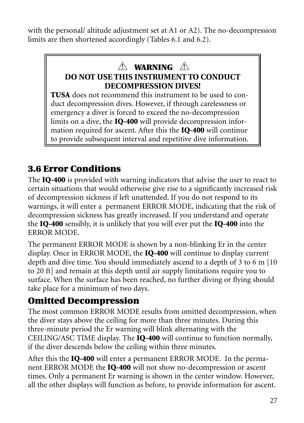with the personal/ altitude adjustment set at A1 or A2). The no-decompression limits are then shortened accordingly (Tables 6.1 and 6.2).

# **WARNING ! !**

#### **DO NOT USE THIS INSTRUMENT TO CONDUCT DECOMPRESSION DIVES!**

**TUSA** does not recommend this instrument to be used to conduct decompression dives. However, if through carelessness or emergency a diver is forced to exceed the no-decompression limits on a dive, the **IQ-400** will provide decompression information required for ascent. After this the **IQ-400** will continue to provide subsequent interval and repetitive dive information.

## **3.6 Error Conditions**

The **IQ-400** is provided with warning indicators that advise the user to react to certain situations that would otherwise give rise to a significantly increased risk of decompression sickness if left unattended. If you do not respond to its warnings, it will enter a permanent ERROR MODE, indicating that the risk of decompression sickness has greatly increased. If you understand and operate the **IQ-400** sensibly, it is unlikely that you will ever put the **IQ-400** into the ERROR MODE.

The permanent ERROR MODE is shown by a non-blinking Er in the center display. Once in ERROR MODE, the **IQ-400** will continue to display current depth and dive time. You should immediately ascend to a depth of 3 to 6 m [10 to 20 ft] and remain at this depth until air supply limitations require you to surface. When the surface has been reached, no further diving or flying should take place for a minimum of two days.

## **Omitted Decompression**

The most common ERROR MODE results from omitted decompression, when the diver stays above the ceiling for more than three minutes. During this three-minute period the Er warning will blink alternating with the CEILING/ASC TIME display. The **IQ-400** will continue to function normally, if the diver descends below the ceiling within three minutes.

After this the **IQ-400** will enter a permanent ERROR MODE. In the permanent ERROR MODE the **IQ-400** will not show no-decompression or ascent times. Only a permanent Er warning is shown in the center window. However, all the other displays will function as before, to provide information for ascent.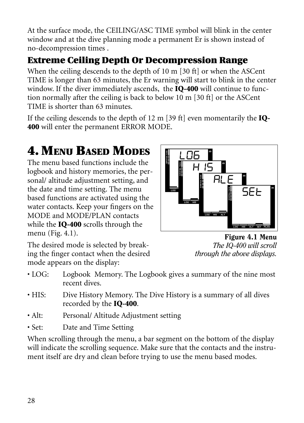At the surface mode, the CEILING/ASC TIME symbol will blink in the center window and at the dive planning mode a permanent Er is shown instead of no-decompression times .

## **Extreme Ceiling Depth Or Decompression Range**

When the ceiling descends to the depth of 10 m [30 ft] or when the ASCent TIME is longer than 63 minutes, the Er warning will start to blink in the center window. If the diver immediately ascends, the **IQ-400** will continue to function normally after the ceiling is back to below 10 m [30 ft] or the ASCent TIME is shorter than 63 minutes.

If the ceiling descends to the depth of 12 m [39 ft] even momentarily the **IQ-400** will enter the permanent ERROR MODE.

# **4. MENU BASED MODES**

The menu based functions include the logbook and history memories, the personal/ altitude adjustment setting, and the date and time setting. The menu based functions are activated using the water contacts. Keep your fingers on the MODE and MODE/PLAN contacts while the **IQ-400** scrolls through the menu (Fig. 4.1).



The desired mode is selected by breaking the finger contact when the desired mode appears on the display:

Figure 4.1 Menu *The IQ-400 will scroll through the above displays.*

- LOG: Logbook Memory. The Logbook gives a summary of the nine most recent dives.
- HIS: Dive History Memory. The Dive History is a summary of all dives recorded by the **IQ-400**.
- Alt: Personal/ Altitude Adjustment setting
- Set: Date and Time Setting

When scrolling through the menu, a bar segment on the bottom of the display will indicate the scrolling sequence. Make sure that the contacts and the instrument itself are dry and clean before trying to use the menu based modes.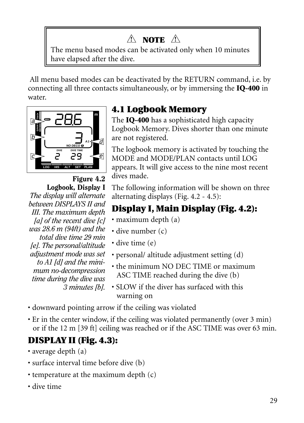## **NOTE ! !**

The menu based modes can be activated only when 10 minutes have elapsed after the dive.

All menu based modes can be deactivated by the RETURN command, i.e. by connecting all three contacts simultaneously, or by immersing the **IQ-400** in water.



Figure 4.2 Logbook, Display I *The display will alternate between DISPLAYS II and III. The maximum depth [a] of the recent dive [c] was 28.6 m (94ft) and the total dive time 29 min [e]. The personal/altitude adjustment mode was set to A1 [d] and the minimum no-decompression time during the dive was 3 minutes [b].*

## **4.1 Logbook Memory**

The **IQ-400** has a sophisticated high capacity Logbook Memory. Dives shorter than one minute are not registered.

The logbook memory is activated by touching the MODE and MODE/PLAN contacts until LOG appears. It will give access to the nine most recent dives made.

The following information will be shown on three alternating displays (Fig. 4.2 - 4.5):

## **Display I, Main Display (Fig. 4.2):**

- maximum depth (a)
- dive number (c)
- dive time (e)
- personal/ altitude adjustment setting (d)
- the minimum NO DEC TIME or maximum ASC TIME reached during the dive (b)
- SLOW if the diver has surfaced with this warning on
- downward pointing arrow if the ceiling was violated
- Er in the center window, if the ceiling was violated permanently (over 3 min) or if the 12 m [39 ft] ceiling was reached or if the ASC TIME was over 63 min.

## **DISPLAY II (Fig. 4.3):**

- average depth (a)
- surface interval time before dive (b)
- temperature at the maximum depth (c)
- dive time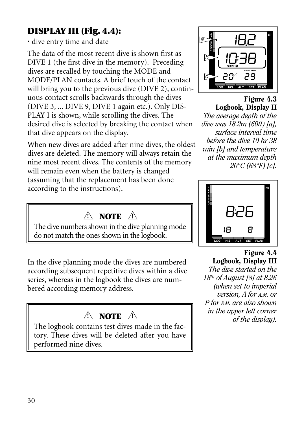## **DISPLAY III (Fig. 4.4):**

• dive entry time and date

The data of the most recent dive is shown first as DIVE 1 (the first dive in the memory). Preceding dives are recalled by touching the MODE and MODE/PLAN contacts. A brief touch of the contact will bring you to the previous dive (DIVE 2), continuous contact scrolls backwards through the dives (DIVE 3, ... DIVE 9, DIVE 1 again etc.). Only DIS-PLAY I is shown, while scrolling the dives. The desired dive is selected by breaking the contact when that dive appears on the display.

When new dives are added after nine dives, the oldest dives are deleted. The memory will always retain the nine most recent dives. The contents of the memory will remain even when the battery is changed (assuming that the replacement has been done according to the instructions).

## **NOTE ! !**

The dive numbers shown in the dive planning mode do not match the ones shown in the logbook.

In the dive planning mode the dives are numbered according subsequent repetitive dives within a dive series, whereas in the logbook the dives are numbered according memory address.

## **NOTE ! !**

The logbook contains test dives made in the factory. These dives will be deleted after you have performed nine dives.



Figure 4.3 Logbook, Display II *The average depth of the dive was 18.2m (60ft) [a], surface interval time before the dive 10 hr 38 min [b] and temperature at the maximum depth 20°C (68°F) [c].*



Figure 4.4 Logbook, Display III *The dive started on the 18th of August [8] at 8:26 (when set to imperial version, A for A.M. or P for P.M. are also shown in the upper left corner of the display).*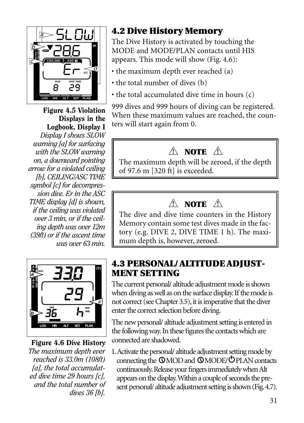

Figure 4.5 Violation Displays in the Logbook, Display I

*Display I shows SLOW warning [a] for surfacing with the SLOW warning on, a downward pointing arrow for a violated ceiling [b], CEILING/ASC TIME symbol [c] for decompression dive. Er in the ASC TIME display [d] is shown, if the ceiling was violated over 3 min, or if the ceiling depth was over 12m (39ft) or if the ascent time was over 63 min.*



Figure 4.6 Dive History *The maximum depth ever reached is 33.0m (108ft) [a], the total accumulated dive time 29 hours [c], and the total number of dives 36 [b].*

## **4.2 Dive History Memory**

The Dive History is activated by touching the MODE and MODE/PLAN contacts until HIS appears. This mode will show (Fig. 4.6):

- the maximum depth ever reached (a)
- the total number of dives (b)
- the total accumulated dive time in hours (c)

999 dives and 999 hours of diving can be registered. When these maximum values are reached, the counters will start again from 0.

# **NOTE ! !**

The maximum depth will be zeroed, if the depth of 97.6 m [320 ft] is exceeded.

# **NOTE ! !**

The dive and dive time counters in the History Memory contain some test dives made in the factory (e.g. DIVE 2, DIVE TIME 1 h). The maximum depth is, however, zeroed.

#### **4.3 PERSONAL/ ALTITUDE ADJUST-MENT SETTING**

The current personal/ altitude adjustment mode is shown when diving as well as on the surface display.If the mode is not correct (see Chapter 3.5), it is imperative that the diver enter the correct selection before diving.

The new personal/ altitude adjustment setting is entered in the following way.In these figures the contacts which are connected are shadowed.

1.Activate the personal/ altitude adjustment setting mode by connecting the  $\mathbb{Q}$ MOD and  $\mathbb{Q}$ MODE/ $\mathbb{Q}$ PLAN contacts continuously.Release your fingers immediately when Alt appears on the display.Within a couple of seconds the present personal/ altitude adjustment setting is shown (Fig.4.7).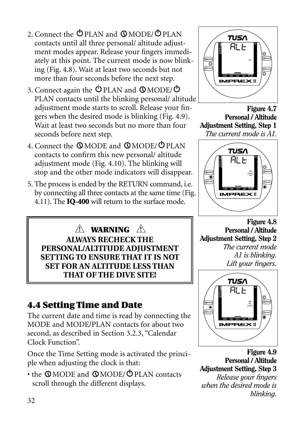- 2. Connect the  $\bigcirc$  PLAN and  $\bigcirc$  MODE/ $\bigcirc$  PLAN contacts until all three personal/ altitude adjustment modes appear. Release your fingers immediately at this point. The current mode is now blinking (Fig. 4.8). Wait at least two seconds but not more than four seconds before the next step.
- 3. Connect again the  $\Phi$  PLAN and  $\Phi$ MODE/ $\Phi$ PLAN contacts until the blinking personal/ altitude adjustment mode starts to scroll. Release your fingers when the desired mode is blinking (Fig. 4.9). Wait at least two seconds but no more than four seconds before next step.
- 4. Connect the **QMODE** and **QMODE**/ **OPLAN** contacts to confirm this new personal/ altitude adjustment mode (Fig. 4.10). The blinking will stop and the other mode indicators will disappear.
- 5. The process is ended by the RETURN command, i.e. by connecting all three contacts at the same time (Fig. 4.11). The **IQ-400** will return to the surface mode.

**WARNING ! !ALWAYS RECHECK THE PERSONAL/ALTITUDE ADJUSTMENT SETTING TO ENSURE THAT IT IS NOT SET FOR AN ALTITUDE LESS THAN THAT OF THE DIVE SITE!**

## **4.4 Setting Time and Date**

The current date and time is read by connecting the MODE and MODE/PLAN contacts for about two second, as described in Section 3.2.3, "Calendar Clock Function".

Once the Time Setting mode is activated the principle when adjusting the clock is that:

 $\cdot$  the QMODE and QMODE/ $\circ$ PLAN contacts scroll through the different displays.



Figure 4.7 Personal / Altitude Adjustment Setting, Step 1 *The current mode is A1.*



Figure 4.8 Personal / Altitude Adjustment Setting, Step 2 *The current mode A1 is blinking. Lift your fingers.*



Figure 4.9 Personal / Altitude Adjustment Setting, Step 3 *Release your fingers when the desired mode is blinking.*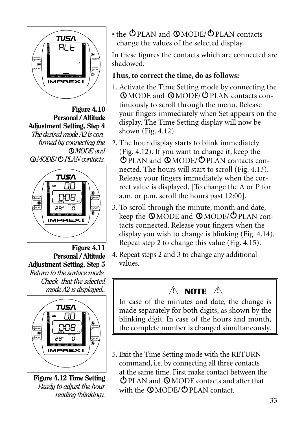

Figure 4.10 Personal / Altitude Adjustment Setting, Step 4 *The desired mode A2 is confirmed by connecting the MODE and MODE/ PLAN contacts.*



Figure 4.11 Personal / Altitude Adjustment Setting, Step 5 *Return to the surface mode. Check that the selected mode A2 is displayed..*



Figure 4.12 Time Setting *Ready to adjust the hour reading (blinking).*

 $\cdot$  the  $\circ$  PLAN and  $\circ$  MODE/ $\circ$  PLAN contacts change the values of the selected display.

In these figures the contacts which are connected are shadowed.

#### **Thus, to correct the time, do as follows:**

- 1. Activate the Time Setting mode by connecting the MODE and MODE/ PLAN contacts continuously to scroll through the menu. Release your fingers immediately when Set appears on the display. The Time Setting display will now be shown (Fig. 4.12).
- 2. The hour display starts to blink immediately (Fig. 4.12). If you want to change it, keep the PLAN and MODE/ PLAN contacts connected. The hours will start to scroll (Fig. 4.13). Release your fingers immediately when the correct value is displayed. [To change the A or P for a.m. or p.m. scroll the hours past 12:00].
- 3. To scroll through the minute, month and date, keep the  $\mathbb{O}$  MODE and  $\mathbb{O}$  MODE/ $\mathbb{O}$  PLAN contacts connected. Release your fingers when the display you wish to change is blinking (Fig. 4.14). Repeat step 2 to change this value (Fig. 4.15).
- 4. Repeat steps 2 and 3 to change any additional values.

## **NOTE ! !**

In case of the minutes and date, the change is made separately for both digits, as shown by the blinking digit. In case of the hours and month, the complete number is changed simultaneously.

5. Exit the Time Setting mode with the RETURN command, i.e. by connecting all three contacts at the same time. First make contact between the PLAN and MODE contacts and after that with the  $\mathbb{Q}$  MODE/ $\mathbb{Q}$  PLAN contact.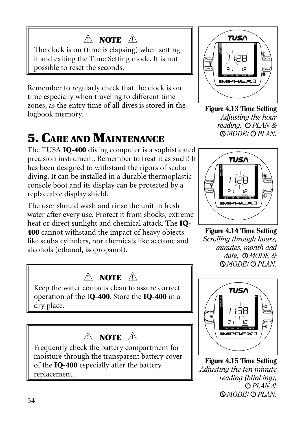## **NOTE ! !**

The clock is on (time is elapsing) when setting it and exiting the Time Setting mode. It is not possible to reset the seconds.

Remember to regularly check that the clock is on time especially when traveling to different time zones, as the entry time of all dives is stored in the logbook memory.

# **5. CARE AND MAINTENANCE**

The TUSA **IQ-400** diving computer is a sophisticated precision instrument. Remember to treat it as such! It has been designed to withstand the rigors of scuba diving. It can be installed in a durable thermoplastic console boot and its display can be protected by a replaceable display shield.

The user should wash and rinse the unit in fresh water after every use. Protect it from shocks, extreme heat or direct sunlight and chemical attack. The **IQ-400** cannot withstand the impact of heavy objects like scuba cylinders, nor chemicals like acetone and alcohols (ethanol, isopropanol).

## **NOTE ! !**

Keep the water contacts clean to assure correct operation of the I**Q-400**. Store the **IQ-400** in a dry place.

## **NOTE ! !**

Frequently check the battery compartment for moisture through the transparent battery cover of the **IQ-400** especially after the battery replacement.



Figure 4.13 Time Setting *Adjusting the hour*  reading,  $\bigcirc$  PLAN & *MODE/ PLAN.*



Figure 4.14 Time Setting *Scrolling through hours, minutes, month and date, MODE & MODE/ PLAN.*



Figure 4.15 Time Setting *Adjusting the ten minute reading (blinking), PLAN & MODE/ PLAN.*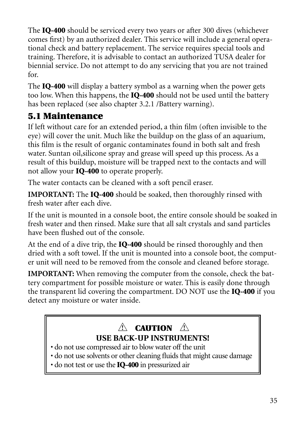The **IQ-400** should be serviced every two years or after 300 dives (whichever comes first) by an authorized dealer. This service will include a general operational check and battery replacement. The service requires special tools and training. Therefore, it is advisable to contact an authorized TUSA dealer for biennial service. Do not attempt to do any servicing that you are not trained for.

The **IQ-400** will display a battery symbol as a warning when the power gets too low. When this happens, the **IQ-400** should not be used until the battery has been replaced (see also chapter 3.2.1 /Battery warning).

## **5.1 Maintenance**

If left without care for an extended period, a thin film (often invisible to the eye) will cover the unit. Much like the buildup on the glass of an aquarium, this film is the result of organic contaminates found in both salt and fresh water. Suntan oil,silicone spray and grease will speed up this process. As a result of this buildup, moisture will be trapped next to the contacts and will not allow your **IQ-400** to operate properly.

The water contacts can be cleaned with a soft pencil eraser.

**IMPORTANT:** The **IQ-400** should be soaked, then thoroughly rinsed with fresh water after each dive.

If the unit is mounted in a console boot, the entire console should be soaked in fresh water and then rinsed. Make sure that all salt crystals and sand particles have been flushed out of the console.

At the end of a dive trip, the **IQ-400** should be rinsed thoroughly and then dried with a soft towel. If the unit is mounted into a console boot, the computer unit will need to be removed from the console and cleaned before storage.

**IMPORTANT:** When removing the computer from the console, check the battery compartment for possible moisture or water. This is easily done through the transparent lid covering the compartment. DO NOT use the **IQ-400** if you detect any moisture or water inside.

## **CAUTION ! !USE BACK-UP INSTRUMENTS!**

- do not use compressed air to blow water off the unit
- do not use solvents or other cleaning fluids that might cause damage
- do not test or use the **IQ-400** in pressurized air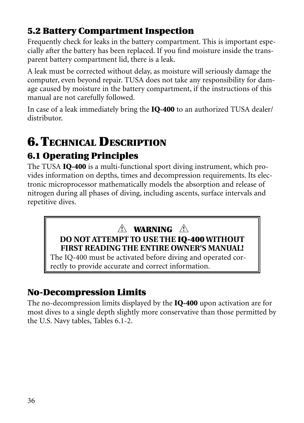## **5.2 Battery Compartment Inspection**

Frequently check for leaks in the battery compartment. This is important especially after the battery has been replaced. If you find moisture inside the transparent battery compartment lid, there is a leak.

A leak must be corrected without delay, as moisture will seriously damage the computer, even beyond repair. TUSA does not take any responsibility for damage caused by moisture in the battery compartment, if the instructions of this manual are not carefully followed.

In case of a leak immediately bring the **IQ-400** to an authorized TUSA dealer/ distributor.

# **6. TECHNICAL DESCRIPTION**

## **6.1 Operating Principles**

The TUSA **IQ-400** is a multi-functional sport diving instrument, which provides information on depths, times and decompression requirements. Its electronic microprocessor mathematically models the absorption and release of nitrogen during all phases of diving, including ascents, surface intervals and repetitive dives.

#### **WARNING ! !DO NOT ATTEMPT TO USE THE IQ-400 WITHOUT FIRST READING THE ENTIRE OWNER'S MANUAL!**

The IQ-400 must be activated before diving and operated correctly to provide accurate and correct information.

## **No-Decompression Limits**

The no-decompression limits displayed by the **IQ-400** upon activation are for most dives to a single depth slightly more conservative than those permitted by the U.S. Navy tables, Tables 6.1-2.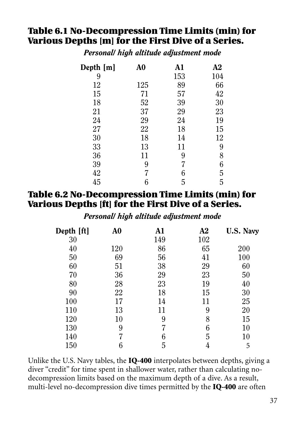## **Table 6.1 No-Decompression Time Limits (min) for Various Depths [m] for the First Dive of a Series.**

*Personal/ high altitude adjustment mode*

| Depth [m] | A <sub>0</sub> | A1  | A2  |
|-----------|----------------|-----|-----|
| 9         |                | 153 | 104 |
| 12        | 125            | 89  | 66  |
| 15        | 71             | 57  | 42  |
| 18        | 52             | 39  | 30  |
| 21        | 37             | 29  | 23  |
| 24        | 29             | 24  | 19  |
| 27        | 22             | 18  | 15  |
| 30        | 18             | 14  | 12  |
| 33        | 13             | 11  | 9   |
| 36        | 11             | 9   | 8   |
| 39        | 9              | 7   | 6   |
| 42        | 7              | 6   | 5   |
| 45        | 6              | 5   | 5   |
|           |                |     |     |

#### **Table 6.2 No-Decompression Time Limits (min) for Various Depths [ft] for the First Dive of a Series.**

*Personal/ high altitude adjustment mode*

| Depth [ft] | A0  | A1  | A2  | U.S. Navy |
|------------|-----|-----|-----|-----------|
| 30         |     | 149 | 102 |           |
| 40         | 120 | 86  | 65  | 200       |
| 50         | 69  | 56  | 41  | 100       |
| 60         | 51  | 38  | 29  | 60        |
| 70         | 36  | 29  | 23  | 50        |
| 80         | 28  | 23  | 19  | 40        |
| 90         | 22  | 18  | 15  | 30        |
| 100        | 17  | 14  | 11  | 25        |
| 110        | 13  | 11  | 9   | 20        |
| 120        | 10  | 9   | 8   | 15        |
| 130        | 9   |     | 6   | 10        |
| 140        |     | 6   | 5   | $10\,$    |
| 150        | 6   | 5   | 4   | 5         |

Unlike the U.S. Navy tables, the **IQ-400** interpolates between depths, giving a diver "credit" for time spent in shallower water, rather than calculating nodecompression limits based on the maximum depth of a dive. As a result, multi-level no-decompression dive times permitted by the **IQ-400** are often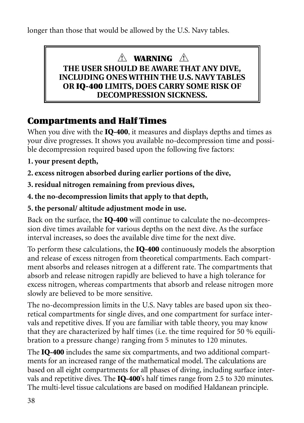longer than those that would be allowed by the U.S. Navy tables.

## **WARNING ! !**

#### **THE USER SHOULD BE AWARE THAT ANY DIVE, INCLUDING ONES WITHIN THE U.S. NAVY TABLES OR IQ-400 LIMITS, DOES CARRY SOME RISK OF DECOMPRESSION SICKNESS.**

## **Compartments and Half Times**

When you dive with the **IQ-400**, it measures and displays depths and times as your dive progresses. It shows you available no-decompression time and possible decompression required based upon the following five factors:

- **1. your present depth,**
- **2. excess nitrogen absorbed during earlier portions of the dive,**
- **3. residual nitrogen remaining from previous dives,**
- **4. the no-decompression limits that apply to that depth,**
- **5. the personal/ altitude adjustment mode in use.**

Back on the surface, the **IQ-400** will continue to calculate the no-decompression dive times available for various depths on the next dive. As the surface interval increases, so does the available dive time for the next dive.

To perform these calculations, the **IQ-400** continuously models the absorption and release of excess nitrogen from theoretical compartments. Each compartment absorbs and releases nitrogen at a different rate. The compartments that absorb and release nitrogen rapidly are believed to have a high tolerance for excess nitrogen, whereas compartments that absorb and release nitrogen more slowly are believed to be more sensitive.

The no-decompression limits in the U.S. Navy tables are based upon six theoretical compartments for single dives, and one compartment for surface intervals and repetitive dives. If you are familiar with table theory, you may know that they are characterized by half times (i.e. the time required for 50 % equilibration to a pressure change) ranging from 5 minutes to 120 minutes.

The **IQ-400** includes the same six compartments, and two additional compartments for an increased range of the mathematical model. The calculations are based on all eight compartments for all phases of diving, including surface intervals and repetitive dives. The **IQ-400**'s half times range from 2.5 to 320 minutes. The multi-level tissue calculations are based on modified Haldanean principle.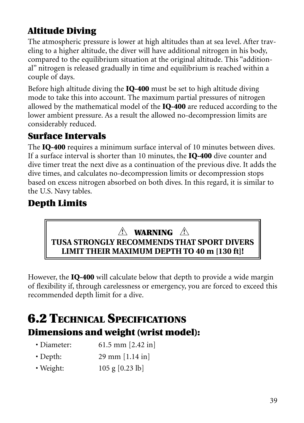## **Altitude Diving**

The atmospheric pressure is lower at high altitudes than at sea level. After traveling to a higher altitude, the diver will have additional nitrogen in his body, compared to the equilibrium situation at the original altitude. This "additional" nitrogen is released gradually in time and equilibrium is reached within a couple of days.

Before high altitude diving the **IQ-400** must be set to high altitude diving mode to take this into account. The maximum partial pressures of nitrogen allowed by the mathematical model of the **IQ-400** are reduced according to the lower ambient pressure. As a result the allowed no-decompression limits are considerably reduced.

## **Surface Intervals**

The **IQ-400** requires a minimum surface interval of 10 minutes between dives. If a surface interval is shorter than 10 minutes, the **IQ-400** dive counter and dive timer treat the next dive as a continuation of the previous dive. It adds the dive times, and calculates no-decompression limits or decompression stops based on excess nitrogen absorbed on both dives. In this regard, it is similar to the U.S. Navy tables.

## **Depth Limits**

## **WARNING ! !TUSA STRONGLY RECOMMENDS THAT SPORT DIVERS LIMIT THEIR MAXIMUM DEPTH TO 40 m [130 ft]!**

However, the **IQ-400** will calculate below that depth to provide a wide margin of flexibility if, through carelessness or emergency, you are forced to exceed this recommended depth limit for a dive.

## **6.2 TECHNICAL SPECIFICATIONS Dimensions and weight (wrist model):**

| • Diameter:    | $61.5$ mm $[2.42$ in] |
|----------------|-----------------------|
| $\cdot$ Depth: | $29$ mm $[1.14$ in]   |

• Weight: 105 g [0.23 lb]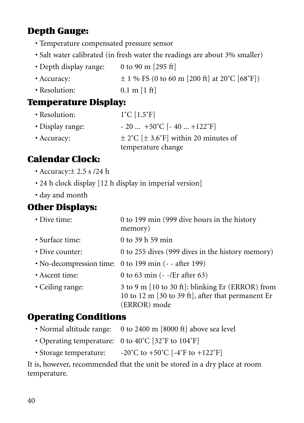## **Depth Gauge:**

- Temperature compensated pressure sensor
- Salt water calibrated (in fresh water the readings are about 3% smaller)
- Depth display range: 0 to 90 m [295 ft]
- Accuracy:  $\pm 1 \%$  FS (0 to 60 m [200 ft] at 20°C [68°F])
- Resolution: 0.1 m [1 ft]

#### **Temperature Display:**

• Resolution:  $1^{\circ}C$  [1.5°F] • Display range:  $-20$  ...  $+50^{\circ}$ C [-40 ...  $+122^{\circ}$ F] • Accuracy:  $\pm 2^{\circ}C \left[ \pm 3.6^{\circ}F \right]$  within 20 minutes of temperature change

## **Calendar Clock:**

- Accuracy:± 2.5 s /24 h
- 24 h clock display [12 h display in imperial version]
- day and month

#### **Other Displays:**

| • Dive time:     | 0 to 199 min (999 dive hours in the history<br>memory)                                                                |
|------------------|-----------------------------------------------------------------------------------------------------------------------|
| • Surface time:  | 0 to 39 h 59 min                                                                                                      |
| • Dive counter:  | 0 to 255 dives (999 dives in the history memory)                                                                      |
|                  | $\cdot$ No-decompression time: 0 to 199 min (- - after 199)                                                           |
| • Ascent time:   | 0 to 63 min $(- -/Er \text{ after } 63)$                                                                              |
| • Ceiling range: | 3 to 9 m [10 to 30 ft]: blinking Er (ERROR) from<br>10 to 12 m [30 to 39 ft], after that permanent Er<br>(ERROR) mode |

#### **Operating Conditions**

- Normal altitude range: 0 to 2400 m [8000 ft] above sea level
- Operating temperature: 0 to 40˚C [32˚F to 104˚F]
- Storage temperature: -20°C to +50°C [-4°F to +122°F]

It is, however, recommended that the unit be stored in a dry place at room temperature.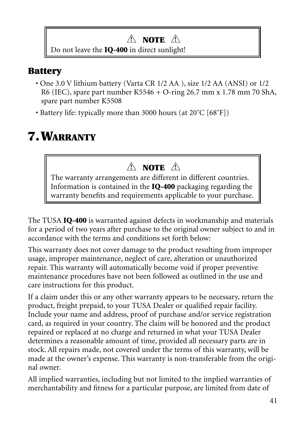## **NOTE ! !**

Do not leave the **IQ-400** in direct sunlight!

## **Battery**

- One 3.0 V lithium battery (Varta CR 1/2 AA ), size 1/2 AA (ANSI) or 1/2 R6 (IEC), spare part number K5546 + O-ring 26.7 mm x 1.78 mm 70 ShA, spare part number K5508
- Battery life: typically more than 3000 hours (at 20°C [68°F])

# **7. WARRANTY**

## **NOTE ! !**

The warranty arrangements are different in different countries. Information is contained in the **IQ-400** packaging regarding the warranty benefits and requirements applicable to your purchase.

The TUSA **IQ-400** is warranted against defects in workmanship and materials for a period of two years after purchase to the original owner subject to and in accordance with the terms and conditions set forth below:

This warranty does not cover damage to the product resulting from improper usage, improper maintenance, neglect of care, alteration or unauthorized repair. This warranty will automatically become void if proper preventive maintenance procedures have not been followed as outlined in the use and care instructions for this product.

If a claim under this or any other warranty appears to be necessary, return the product, freight prepaid, to your TUSA Dealer or qualified repair facility. Include your name and address, proof of purchase and/or service registration card, as required in your country. The claim will be honored and the product repaired or replaced at no charge and returned in what your TUSA Dealer determines a reasonable amount of time, provided all necessary parts are in stock. All repairs made, not covered under the terms of this warranty, will be made at the owner's expense. This warranty is non-transferable from the original owner.

All implied warranties, including but not limited to the implied warranties of merchantability and fitness for a particular purpose, are limited from date of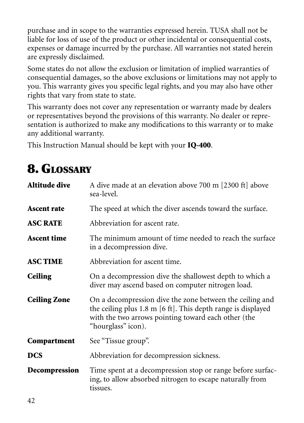purchase and in scope to the warranties expressed herein. TUSA shall not be liable for loss of use of the product or other incidental or consequential costs, expenses or damage incurred by the purchase. All warranties not stated herein are expressly disclaimed.

Some states do not allow the exclusion or limitation of implied warranties of consequential damages, so the above exclusions or limitations may not apply to you. This warranty gives you specific legal rights, and you may also have other rights that vary from state to state.

This warranty does not cover any representation or warranty made by dealers or representatives beyond the provisions of this warranty. No dealer or representation is authorized to make any modifications to this warranty or to make any additional warranty.

This Instruction Manual should be kept with your **IQ-400**.

## **8. GLOSSARY**

| <b>Altitude dive</b> | A dive made at an elevation above 700 m [2300 ft] above<br>sea-level.                                                                                                                                            |
|----------------------|------------------------------------------------------------------------------------------------------------------------------------------------------------------------------------------------------------------|
| <b>Ascent rate</b>   | The speed at which the diver ascends toward the surface.                                                                                                                                                         |
| <b>ASC RATE</b>      | Abbreviation for ascent rate.                                                                                                                                                                                    |
| <b>Ascent time</b>   | The minimum amount of time needed to reach the surface<br>in a decompression dive.                                                                                                                               |
| <b>ASC TIME</b>      | Abbreviation for ascent time.                                                                                                                                                                                    |
| <b>Ceiling</b>       | On a decompression dive the shallowest depth to which a<br>diver may ascend based on computer nitrogen load.                                                                                                     |
| <b>Ceiling Zone</b>  | On a decompression dive the zone between the ceiling and<br>the ceiling plus 1.8 m $[6 \text{ ft}]$ . This depth range is displayed<br>with the two arrows pointing toward each other (the<br>"hourglass" icon). |
| Compartment          | See "Tissue group".                                                                                                                                                                                              |
| <b>DCS</b>           | Abbreviation for decompression sickness.                                                                                                                                                                         |
| Decompression        | Time spent at a decompression stop or range before surfac-<br>ing, to allow absorbed nitrogen to escape naturally from<br>tissues.                                                                               |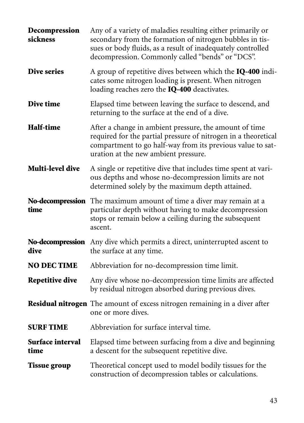| Decompression<br>sickness | Any of a variety of maladies resulting either primarily or<br>secondary from the formation of nitrogen bubbles in tis-<br>sues or body fluids, as a result of inadequately controlled<br>decompression. Commonly called "bends" or "DCS". |
|---------------------------|-------------------------------------------------------------------------------------------------------------------------------------------------------------------------------------------------------------------------------------------|
| <b>Dive series</b>        | A group of repetitive dives between which the <b>IQ-400</b> indi-<br>cates some nitrogen loading is present. When nitrogen<br>loading reaches zero the <b>IQ-400</b> deactivates.                                                         |
| Dive time                 | Elapsed time between leaving the surface to descend, and<br>returning to the surface at the end of a dive.                                                                                                                                |
| Half-time                 | After a change in ambient pressure, the amount of time<br>required for the partial pressure of nitrogen in a theoretical<br>compartment to go half-way from its previous value to sat-<br>uration at the new ambient pressure.            |
| Multi-level dive          | A single or repetitive dive that includes time spent at vari-<br>ous depths and whose no-decompression limits are not<br>determined solely by the maximum depth attained.                                                                 |
| time                      | <b>No-decompression</b> The maximum amount of time a diver may remain at a<br>particular depth without having to make decompression<br>stops or remain below a ceiling during the subsequent<br>ascent.                                   |
| dive                      | <b>No-decompression</b> Any dive which permits a direct, uninterrupted ascent to<br>the surface at any time.                                                                                                                              |
| <b>NO DECTIME</b>         | Abbreviation for no-decompression time limit.                                                                                                                                                                                             |
| <b>Repetitive dive</b>    | Any dive whose no-decompression time limits are affected<br>by residual nitrogen absorbed during previous dives.                                                                                                                          |
|                           | <b>Residual nitrogen</b> The amount of excess nitrogen remaining in a diver after<br>one or more dives.                                                                                                                                   |
| <b>SURF TIME</b>          | Abbreviation for surface interval time.                                                                                                                                                                                                   |
| Surface interval<br>time  | Elapsed time between surfacing from a dive and beginning<br>a descent for the subsequent repetitive dive.                                                                                                                                 |
| <b>Tissue group</b>       | Theoretical concept used to model bodily tissues for the<br>construction of decompression tables or calculations.                                                                                                                         |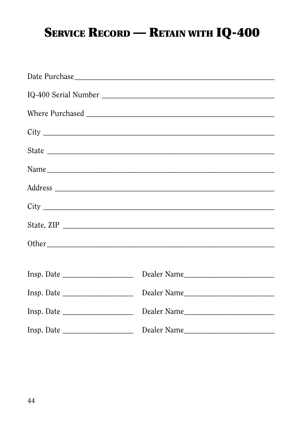# **SERVICE RECORD - RETAIN WITH IQ-400**

| Insp. Date |             |
|------------|-------------|
| Insp. Date |             |
|            | Dealer Name |
| Insp. Date |             |